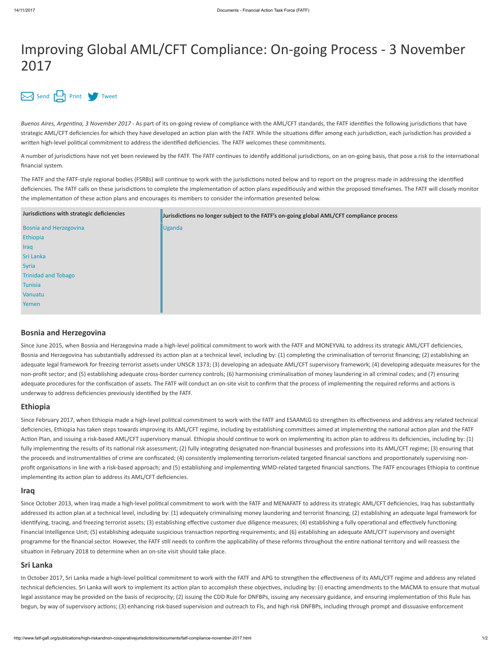# Improving Global AML/CFT Compliance: On-going Process - 3 November 2017

## [Send](mailto:?body=http://www.fatf-gafi.org//publications/high-riskandnon-cooperativejurisdictions/documents/fatf-compliance-november-2017.html&subject=Improving%20Global%20AML/CFT%20Compliance:%20On-going%20Process%20-%203%20November%202017) [Print](javascript:$(".printable").printThis({importCSS: true,importStyle: true, printDelay: 555 });) [Tweet](https://twitter.com/intent/tweet?text=Improving%20Global%20AML/CFT%20Compliance:%20On-going%20Process%20-%203%20November%202017&url=http://www.fatf-gafi.org//publications/high-riskandnon-cooperativejurisdictions/documents/fatf-compliance-november-2017.html&hashtags=FATF&via=FATFNews)

Buenos Aires, Argentina, 3 November 2017 - As part of its on-going review of compliance with the AML/CFT standards, the FATF identifies the following jurisdictions that have strategic AML/CFT deficiencies for which they have developed an action plan with the FATF. While the situations differ among each jurisdiction, each jurisdiction has provided a written high-level political commitment to address the identified deficiencies. The FATF welcomes these commitments.

A number of jurisdictions have not yet been reviewed by the FATF. The FATF continues to identify additional jurisdictions, on an on-going basis, that pose a risk to the international financial system.

The FATF and the FATF-style regional bodies (FSRBs) will continue to work with the jurisdictions noted below and to report on the progress made in addressing the identified deficiencies. The FATF calls on these jurisdictions to complete the implementation of action plans expeditiously and within the proposed timeframes. The FATF will closely monitor the implementation of these action plans and encourages its members to consider the information presented below.

| Jurisdictions with strategic deficiencies | Jurisdictions no longer subject to the FATF's on-going global AML/CFT compliance process |
|-------------------------------------------|------------------------------------------------------------------------------------------|
| <b>Bosnia and Herzegovina</b>             | <b>Uganda</b>                                                                            |
| Ethiopia                                  |                                                                                          |
| Iraq                                      |                                                                                          |
| Sri Lanka                                 |                                                                                          |
| <b>Syria</b>                              |                                                                                          |
| <b>Trinidad and Tobago</b>                |                                                                                          |
| Tunisia                                   |                                                                                          |
| Vanuatu                                   |                                                                                          |
| Yemen                                     |                                                                                          |

### Bosnia and Herzegovina

Since June 2015, when Bosnia and Herzegovina made a high-level political commitment to work with the FATF and MONEYVAL to address its strategic AML/CFT deficiencies, Bosnia and Herzegovina has substantially addressed its action plan at a technical level, including by: (1) completing the criminalisation of terrorist financing; (2) establishing an adequate legal framework for freezing terrorist assets under UNSCR 1373; (3) developing an adequate AML/CFT supervisory framework; (4) developing adequate measures for the non-profit sector; and (5) establishing adequate cross-border currency controls; (6) harmonising criminalisation of money laundering in all criminal codes; and (7) ensuring adequate procedures for the confiscation of assets. The FATF will conduct an on-site visit to confirm that the process of implementing the required reforms and actions is underway to address deficiencies previously identified by the FATF.

#### Ethiopia

Since February 2017, when Ethiopia made a high-level political commitment to work with the FATF and ESAAMLG to strengthen its effectiveness and address any related technical deficiencies, Ethiopia has taken steps towards improving its AML/CFT regime, including by establishing committees aimed at implementing the national action plan and the FATF Action Plan, and issuing a risk-based AML/CFT supervisory manual. Ethiopia should continue to work on implementing its action plan to address its deficiencies, including by: (1) fully implementing the results of its national risk assessment; (2) fully integrating designated non-financial businesses and professions into its AML/CFT regime; (3) ensuring that the proceeds and instrumentalities of crime are confiscated; (4) consistently implementing terrorism-related targeted financial sanctions and proportionately supervising nonprofit organisations in line with a risk-based approach; and (5) establishing and implementing WMD-related targeted financial sanctions. The FATF encourages Ethiopia to continue implementing its action plan to address its AML/CFT deficiencies.

#### Iraq

Since October 2013, when Iraq made a high-level political commitment to work with the FATF and MENAFATF to address its strategic AML/CFT deficiencies, Iraq has substantially addressed its action plan at a technical level, including by: (1) adequately criminalising money laundering and terrorist financing; (2) establishing an adequate legal framework for identifying, tracing, and freezing terrorist assets; (3) establishing effective customer due diligence measures; (4) establishing a fully operational and effectively functioning Financial Intelligence Unit; (5) establishing adequate suspicious transaction reporting requirements; and (6) establishing an adequate AML/CFT supervisory and oversight programme for the financial sector. However, the FATF still needs to confirm the applicability of these reforms throughout the entire national territory and will reassess the situation in February 2018 to determine when an on-site visit should take place.

#### Sri Lanka

In October 2017, Sri Lanka made a high-level political commitment to work with the FATF and APG to strengthen the effectiveness of its AML/CFT regime and address any related technical deficiencies. Sri Lanka will work to implement its action plan to accomplish these objectives, including by: (i) enacting amendments to the MACMA to ensure that mutual legal assistance may be provided on the basis of reciprocity; (2) issuing the CDD Rule for DNFBPs, issuing any necessary guidance, and ensuring implementation of this Rule has begun, by way of supervisory actions; (3) enhancing risk-based supervision and outreach to FIs, and high risk DNFBPs, including through prompt and dissuasive enforcement